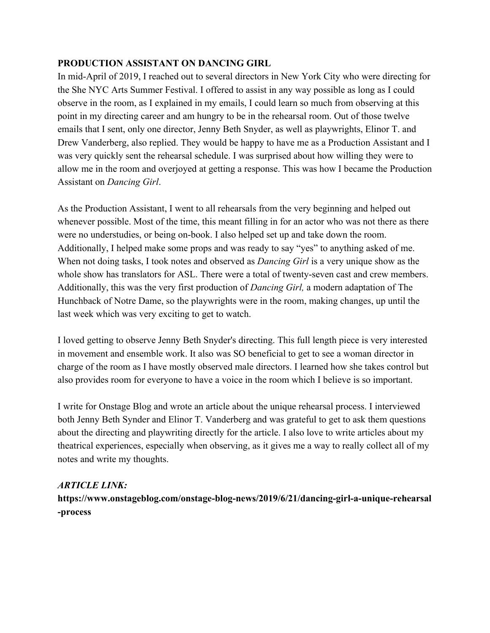## **PRODUCTION ASSISTANT ON DANCING GIRL**

In mid-April of 2019, I reached out to several directors in New York City who were directing for the She NYC Arts Summer Festival. I offered to assist in any way possible as long as I could observe in the room, as I explained in my emails, I could learn so much from observing at this point in my directing career and am hungry to be in the rehearsal room. Out of those twelve emails that I sent, only one director, Jenny Beth Snyder, as well as playwrights, Elinor T. and Drew Vanderberg, also replied. They would be happy to have me as a Production Assistant and I was very quickly sent the rehearsal schedule. I was surprised about how willing they were to allow me in the room and overjoyed at getting a response. This was how I became the Production Assistant on *Dancing Girl*.

As the Production Assistant, I went to all rehearsals from the very beginning and helped out whenever possible. Most of the time, this meant filling in for an actor who was not there as there were no understudies, or being on-book. I also helped set up and take down the room. Additionally, I helped make some props and was ready to say "yes" to anything asked of me. When not doing tasks, I took notes and observed as *Dancing Girl* is a very unique show as the whole show has translators for ASL. There were a total of twenty-seven cast and crew members. Additionally, this was the very first production of *Dancing Girl,* a modern adaptation of The Hunchback of Notre Dame, so the playwrights were in the room, making changes, up until the last week which was very exciting to get to watch.

I loved getting to observe Jenny Beth Snyder's directing. This full length piece is very interested in movement and ensemble work. It also was SO beneficial to get to see a woman director in charge of the room as I have mostly observed male directors. I learned how she takes control but also provides room for everyone to have a voice in the room which I believe is so important.

I write for Onstage Blog and wrote an article about the unique rehearsal process. I interviewed both Jenny Beth Synder and Elinor T. Vanderberg and was grateful to get to ask them questions about the directing and playwriting directly for the article. I also love to write articles about my theatrical experiences, especially when observing, as it gives me a way to really collect all of my notes and write my thoughts.

## *ARTICLE LINK:*

**https://www.onstageblog.com/onstage-blog-news/2019/6/21/dancing-girl-a-unique-rehearsal -process**